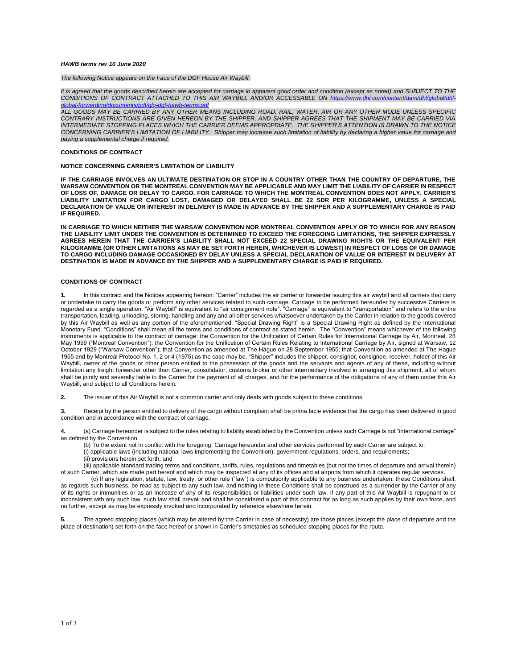## *HAWB terms rev 10 June 2020*

*The following Notice appears on the Face of the DGF House Air Waybill:*

*It is agreed that the goods described herein are accepted for carriage in apparent good order and condition (except as noted) and SUBJECT TO THE CONDITIONS OF CONTRACT ATTACHED TO THIS AIR WAYBILL AND/OR ACCESSABLE ON [https://www.dhl.com/content/dam/dhl/global/dhl](https://www.dhl.com/content/dam/dhl/global/dhl-global-forwarding/documents/pdf/glo-dgf-hawb-terms.pdf)[global-forwarding/documents/pdf/glo-dgf-hawb-terms.pdf](https://www.dhl.com/content/dam/dhl/global/dhl-global-forwarding/documents/pdf/glo-dgf-hawb-terms.pdf)*

*ALL GOODS MAY BE CARRIED BY ANY OTHER MEANS INCLUDING ROAD, RAIL, WATER, AIR OR ANY OTHER MODE UNLESS SPECIFIC CONTRARY INSTRUCTIONS ARE GIVEN HEREON BY THE SHIPPER, AND SHIPPER AGREES THAT THE SHIPMENT MAY BE CARRIED VIA INTERMEDIATE STOPPING PLACES WHICH THE CARRIER DEEMS APPROPRIATE. THE SHIPPER'S ATTENTION IS DRAWN TO THE NOTICE CONCERNING CARRIER'S LIMITATION OF LIABILITY. Shipper may increase such limitation of liability by declaring a higher value for carriage and paying a supplemental charge if required.* 

## **CONDITIONS OF CONTRACT**

## **NOTICE CONCERNING CARRIER'S LIMITATION OF LIABILITY**

**IF THE CARRIAGE INVOLVES AN ULTIMATE DESTINATION OR STOP IN A COUNTRY OTHER THAN THE COUNTRY OF DEPARTURE, THE WARSAW CONVENTION OR THE MONTREAL CONVENTION MAY BE APPLICABLE AND MAY LIMIT THE LIABILITY OF CARRIER IN RESPECT OF LOSS OF, DAMAGE OR DELAY TO CARGO. FOR CARRIAGE TO WHICH THE MONTREAL CONVENTION DOES NOT APPLY, CARRIER'S LIABILITY LIMITATION FOR CARGO LOST, DAMAGED OR DELAYED SHALL BE 22 SDR PER KILOGRAMME, UNLESS A SPECIAL DECLARATION OF VALUE OR INTEREST IN DELIVERY IS MADE IN ADVANCE BY THE SHIPPER AND A SUPPLEMENTARY CHARGE IS PAID IF REQUIRED.** 

**IN CARRIAGE TO WHICH NEITHER THE WARSAW CONVENTION NOR MONTREAL CONVENTION APPLY OR TO WHICH FOR ANY REASON THE LIABILITY LIMIT UNDER THE CONVENTION IS DETERMINED TO EXCEED THE FOREGOING LIMITATIONS, THE SHIPPER EXPRESSLY AGREES HEREIN THAT THE CARRIER'S LIABILITY SHALL NOT EXCEED 22 SPECIAL DRAWING RIGHTS OR THE EQUIVALENT PER KILOGRAMME (OR OTHER LIMITATIONS AS MAY BE SET FORTH HEREIN, WHICHEVER IS LOWEST) IN RESPECT OF LOSS OF OR DAMAGE TO CARGO INCLUDING DAMAGE OCCASIONED BY DELAY UNLESS A SPECIAL DECLARATION OF VALUE OR INTEREST IN DELIVERY AT DESTINATION IS MADE IN ADVANCE BY THE SHIPPER AND A SUPPLEMENTARY CHARGE IS PAID IF REQUIRED.**

## **CONDITIONS OF CONTRACT**

**1.** In this contract and the Notices appearing hereon: "Carrier" includes the air carrier or forwarder issuing this air waybill and all carriers that carry or undertake to carry the goods or perform any other services related to such carriage. Carriage to be performed hereunder by successive Carriers is regarded as a single operation. "Air Waybill" is equivalent to "air consignment note". "Carriage" is equivalent to "transportation" and refers to the entire transportation, loading, unloading, storing, handling and any and all other services whatsoever undertaken by the Carrier in relation to the goods covered by this Air Waybill as well as any portion of the aforementioned. "Special Drawing Right" is a Special Drawing Right as defined by the International Monetary Fund. "Conditions" shall mean all the terms and conditions of contract as stated herein. The "Convention" means whichever of the following instruments is applicable to the contract of carriage: the Convention for the Unification of Certain Rules for International Carriage by Air, Montreal, 28 May 1999 ("Montreal Convention"); the Convention for the Unification of Certain Rules Relating to International Carriage by Air, signed at Warsaw, 12 October 1929 ("Warsaw Convention"); that Convention as amended at The Hague on 28 September 1955; that Convention as amended at The Hague 1955 and by Montreal Protocol No. 1, 2 or 4 (1975) as the case may be. "Shipper" includes the shipper, consignor, consignee, receiver, holder of this Air Waybill, owner of the goods or other person entitled to the possession of the goods and the servants and agents of any of these, including without limitation any freight forwarder other than Carrier, consolidator, customs broker or other intermediary involved in arranging this shipment, all of whom shall be jointly and severally liable to the Carrier for the payment of all charges, and for the performance of the obligations of any of them under this Air Waybill, and subject to all Conditions herein.

**2.** The issuer of this Air Waybill is not a common carrier and only deals with goods subject to these conditions.

**3.** Receipt by the person entitled to delivery of the cargo without complaint shall be prima facie evidence that the cargo has been delivered in good condition and in accordance with the contract of carriage.

**4.** (a) Carriage hereunder is subject to the rules relating to liability established by the Convention unless such Carriage is not "international carriage" as defined by the Convention.

- (b) To the extent not in conflict with the foregoing, Carriage hereunder and other services performed by each Carrier are subject to:
- $(i)$  applicable laws (including national laws implementing the Convention), government regulations, orders, and requirements;
- (ii) provisions herein set forth; and

(iii) applicable standard trading terms and conditions, tariffs, rules, regulations and timetables (but not the times of departure and arrival therein) of such Carrier, which are made part hereof and which may be inspected at any of its offices and at airports from which it operates regular services.

(c) If any legislation, statute, law, treaty, or other rule ("law") is compulsorily applicable to any business undertaken, these Conditions shall, as regards such business, be read as subject to any such law, and nothing in these Conditions shall be construed as a surrender by the Carrier of any of its rights or immunities or as an increase of any of its responsibilities or liabilities under such law. If any part of this Air Waybill is repugnant to or inconsistent with any such law, such law shall prevail and shall be considered a part of this contract for as long as such applies by their own force, and no further, except as may be expressly invoked and incorporated by reference elsewhere herein.

**5.** The agreed stopping places (which may be altered by the Carrier in case of necessity) are those places (except the place of departure and the place of destination) set forth on the face hereof or shown in Carrier's timetables as scheduled stopping places for the route.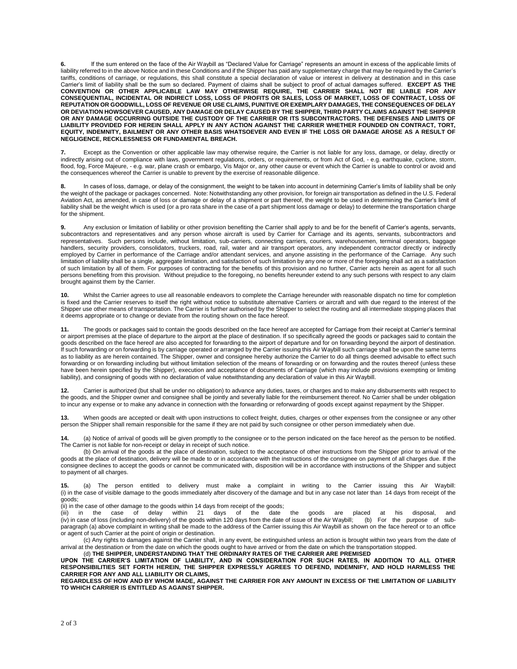**6.** If the sum entered on the face of the Air Waybill as "Declared Value for Carriage" represents an amount in excess of the applicable limits of liability referred to in the above Notice and in these Conditions and if the Shipper has paid any supplementary charge that may be required by the Carrier's tariffs, conditions of carriage, or regulations, this shall constitute a special declaration of value or interest in delivery at destination and in this case Carrier's limit of liability shall be the sum so declared. Payment of claims shall be subject to proof of actual damages suffered. **EXCEPT AS THE CONVENTION OR OTHER APPLICABLE LAW MAY OTHERWISE REQUIRE, THE CARRIER SHALL NOT BE LIABLE FOR ANY CONSEQUENTIAL, INCIDENTAL OR INDIRECT LOSS, LOSS OF PROFITS OR SALES, LOSS OF MARKET, LOSS OF CONTRACT, LOSS OF REPUTATION OR GOODWILL, LOSS OF REVENUE OR USE CLAIMS, PUNITIVE OR EXEMPLARY DAMAGES, THE CONSEQUENCES OF DELAY OR DEVIATION HOWSOEVER CAUSED, ANY DAMAGE OR DELAY CAUSED BY THE SHIPPER, THIRD PARTY CLAIMS AGAINST THE SHIPPER OR ANY DAMAGE OCCURRING OUTSIDE THE CUSTODY OF THE CARRIER OR ITS SUBCONTRACTORS. THE DEFENSES AND LIMITS OF LIABILITY PROVIDED FOR HEREIN SHALL APPLY IN ANY ACTION AGAINST THE CARRIER WHETHER FOUNDED ON CONTRACT, TORT, EQUITY, INDEMNITY, BAILMENT OR ANY OTHER BASIS WHATSOEVER AND EVEN IF THE LOSS OR DAMAGE AROSE AS A RESULT OF NEGLIGENCE, RECKLESSNESS OR FUNDAMENTAL BREACH.**

**7.** Except as the Convention or other applicable law may otherwise require, the Carrier is not liable for any loss, damage, or delay, directly or indirectly arising out of compliance with laws, government regulations, orders, or requirements, or from Act of God, - e.g. earthquake, cyclone, storm, flood, fog, Force Majeure, - e.g. war, plane crash or embargo, Vis Major or, any other cause or event which the Carrier is unable to control or avoid and the consequences whereof the Carrier is unable to prevent by the exercise of reasonable diligence.

**8.** In cases of loss, damage, or delay of the consignment, the weight to be taken into account in determining Carrier's limits of liability shall be only the weight of the package or packages concerned. Note: Notwithstanding any other provision, for foreign air transportation as defined in the U.S. Federal Aviation Act, as amended, in case of loss or damage or delay of a shipment or part thereof, the weight to be used in determining the Carrier's limit of liability shall be the weight which is used (or a pro rata share in the case of a part shipment loss damage or delay) to determine the transportation charge for the shipment.

**9.** Any exclusion or limitation of liability or other provision benefiting the Carrier shall apply to and be for the benefit of Carrier's agents, servants, subcontractors and representatives and any person whose aircraft is used by Carrier for Carriage and its agents, servants, subcontractors and representatives. Such persons include, without limitation, sub-carriers, connecting carriers, couriers, warehousemen, terminal operators, baggage handlers, security providers, consolidators, truckers, road, rail, water and air transport operators, any independent contractor directly or indirectly employed by Carrier in performance of the Carriage and/or attendant services, and anyone assisting in the performance of the Carriage. Any such limitation of liability shall be a single, aggregate limitation, and satisfaction of such limitation by any one or more of the foregoing shall act as a satisfaction of such limitation by all of them. For purposes of contracting for the benefits of this provision and no further, Carrier acts herein as agent for all such persons benefiting from this provision. Without prejudice to the foregoing, no benefits hereunder extend to any such persons with respect to any claim brought against them by the Carrier.

**10.** Whilst the Carrier agrees to use all reasonable endeavors to complete the Carriage hereunder with reasonable dispatch no time for completion is fixed and the Carrier reserves to itself the right without notice to substitute alternative Carriers or aircraft and with due regard to the interest of the Shipper use other means of transportation. The Carrier is further authorised by the Shipper to select the routing and all intermediate stopping places that it deems appropriate or to change or deviate from the routing shown on the face hereof.

**11.** The goods or packages said to contain the goods described on the face hereof are accepted for Carriage from their receipt at Carrier's terminal or airport premises at the place of departure to the airport at the place of destination. If so specifically agreed the goods or packages said to contain the goods described on the face hereof are also accepted for forwarding to the airport of departure and for on forwarding beyond the airport of destination. If such forwarding or on forwarding is by carriage operated or arranged by the Carrier issuing this Air Waybill such carriage shall be upon the same terms as to liability as are herein contained. The Shipper, owner and consignee hereby authorize the Carrier to do all things deemed advisable to effect such forwarding or on forwarding including but without limitation selection of the means of forwarding or on forwarding and the routes thereof (unless these have been herein specified by the Shipper), execution and acceptance of documents of Carriage (which may include provisions exempting or limiting liability), and consigning of goods with no declaration of value notwithstanding any declaration of value in this Air Waybill.

**12.** Carrier is authorized (but shall be under no obligation) to advance any duties, taxes, or charges and to make any disbursements with respect to the goods, and the Shipper owner and consignee shall be jointly and severally liable for the reimbursement thereof. No Carrier shall be under obligation to incur any expense or to make any advance in connection with the forwarding or reforwarding of goods except against repayment by the Shipper.

**13.** When goods are accepted or dealt with upon instructions to collect freight, duties, charges or other expenses from the consignee or any other person the Shipper shall remain responsible for the same if they are not paid by such consignee or other person immediately when due.

**14.** (a) Notice of arrival of goods will be given promptly to the consignee or to the person indicated on the face hereof as the person to be notified. The Carrier is not liable for non-receipt or delay in receipt of such notice.

(b) On arrival of the goods at the place of destination, subject to the acceptance of other instructions from the Shipper prior to arrival of the goods at the place of destination, delivery will be made to or in accordance with the instructions of the consignee on payment of all charges due. If the consignee declines to accept the goods or cannot be communicated with, disposition will be in accordance with instructions of the Shipper and subject to payment of all charges.

**15.** (a) The person entitled to delivery must make a complaint in writing to the Carrier issuing this Air Waybill: (i) in the case of visible damage to the goods immediately after discovery of the damage and but in any case not later than 14 days from receipt of the goods;

(ii) in the case of other damage to the goods within 14 days from receipt of the goods;

(iii) in the case of delay within 21 days of the date the goods are placed at his disposal, and (iv) in case of loss (including non-delivery) of the goods within 120 days from the date of issue of the Air Waybill; (b) For the purpose of subparagraph (a) above complaint in writing shall be made to the address of the Carrier issuing this Air Waybill as shown on the face hereof or to an office or agent of such Carrier at the point of origin or destination.

(c) Any rights to damages against the Carrier shall, in any event, be extinguished unless an action is brought within two years from the date of arrival at the destination or from the date on which the goods ought to have arrived or from the date on which the transportation stopped.<br>(d) THE SHIPPER, UNDERSTANDING THAT THE ORDINARY RATES OF THE CARRIER ARE PREMISED

**UPON THE CARRIER'S LIMITATION OF LIABILITY, AND IN CONSIDERATION FOR SUCH RATES, IN ADDITION TO ALL OTHER RESPONSIBILITIES SET FORTH HEREIN, THE SHIPPER EXPRESSLY AGREES TO DEFEND, INDEMNIFY, AND HOLD HARMLESS THE CARRIER FOR ANY AND ALL LIABILITY OR CLAIMS,**

**REGARDLESS OF HOW AND BY WHOM MADE, AGAINST THE CARRIER FOR ANY AMOUNT IN EXCESS OF THE LIMITATION OF LIABILITY TO WHICH CARRIER IS ENTITLED AS AGAINST SHIPPER.**